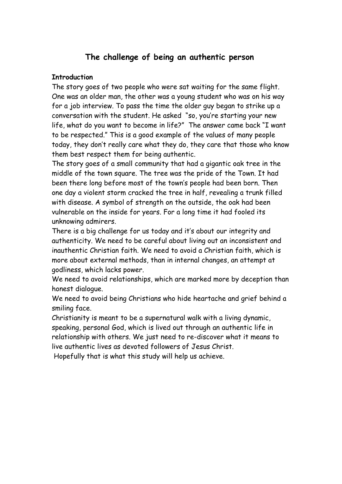# **The challenge of being an authentic person**

### **Introduction**

The story goes of two people who were sat waiting for the same flight. One was an older man, the other was a young student who was on his way for a job interview. To pass the time the older guy began to strike up a conversation with the student. He asked "so, you're starting your new life, what do you want to become in life?" The answer came back "I want to be respected." This is a good example of the values of many people today, they don't really care what they do, they care that those who know them best respect them for being authentic.

The story goes of a small community that had a gigantic oak tree in the middle of the town square. The tree was the pride of the Town. It had been there long before most of the town's people had been born. Then one day a violent storm cracked the tree in half, revealing a trunk filled with disease. A symbol of strength on the outside, the oak had been vulnerable on the inside for years. For a long time it had fooled its unknowing admirers.

There is a big challenge for us today and it's about our integrity and authenticity. We need to be careful about living out an inconsistent and inauthentic Christian faith. We need to avoid a Christian faith, which is more about external methods, than in internal changes, an attempt at godliness, which lacks power.

We need to avoid relationships, which are marked more by deception than honest dialogue.

We need to avoid being Christians who hide heartache and grief behind a smiling face.

Christianity is meant to be a supernatural walk with a living dynamic, speaking, personal God, which is lived out through an authentic life in relationship with others. We just need to re-discover what it means to live authentic lives as devoted followers of Jesus Christ.

Hopefully that is what this study will help us achieve.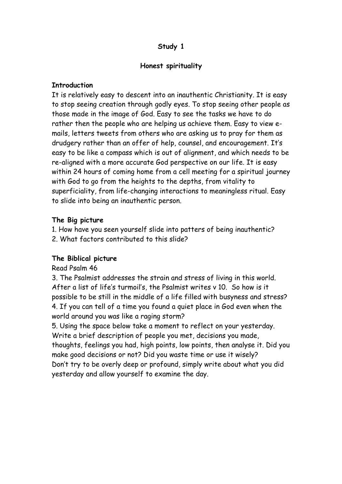## **Study 1**

## **Honest spirituality**

## **Introduction**

It is relatively easy to descent into an inauthentic Christianity. It is easy to stop seeing creation through godly eyes. To stop seeing other people as those made in the image of God. Easy to see the tasks we have to do rather then the people who are helping us achieve them. Easy to view emails, letters tweets from others who are asking us to pray for them as drudgery rather than an offer of help, counsel, and encouragement. It's easy to be like a compass which is out of alignment, and which needs to be re-aligned with a more accurate God perspective on our life. It is easy within 24 hours of coming home from a cell meeting for a spiritual journey with God to go from the heights to the depths, from vitality to superficiality, from life-changing interactions to meaningless ritual. Easy to slide into being an inauthentic person.

## **The Big picture**

1. How have you seen yourself slide into patters of being inauthentic?

2. What factors contributed to this slide?

## **The Biblical picture**

## Read Psalm 46

3. The Psalmist addresses the strain and stress of living in this world. After a list of life's turmoil's, the Psalmist writes v 10. So how is it possible to be still in the middle of a life filled with busyness and stress? 4. If you can tell of a time you found a quiet place in God even when the world around you was like a raging storm?

5. Using the space below take a moment to reflect on your yesterday. Write a brief description of people you met, decisions you made, thoughts, feelings you had, high points, low points, then analyse it. Did you make good decisions or not? Did you waste time or use it wisely? Don't try to be overly deep or profound, simply write about what you did yesterday and allow yourself to examine the day.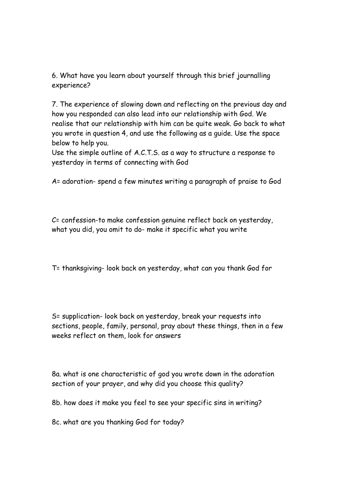6. What have you learn about yourself through this brief journalling experience?

7. The experience of slowing down and reflecting on the previous day and how you responded can also lead into our relationship with God. We realise that our relationship with him can be quite weak. Go back to what you wrote in question 4, and use the following as a guide. Use the space below to help you.

Use the simple outline of A.C.T.S. as a way to structure a response to yesterday in terms of connecting with God

A= adoration- spend a few minutes writing a paragraph of praise to God

C= confession-to make confession genuine reflect back on yesterday, what you did, you omit to do- make it specific what you write

T= thanksgiving- look back on yesterday, what can you thank God for

S= supplication- look back on yesterday, break your requests into sections, people, family, personal, pray about these things, then in a few weeks reflect on them, look for answers

8a. what is one characteristic of god you wrote down in the adoration section of your prayer, and why did you choose this quality?

8b. how does it make you feel to see your specific sins in writing?

8c. what are you thanking God for today?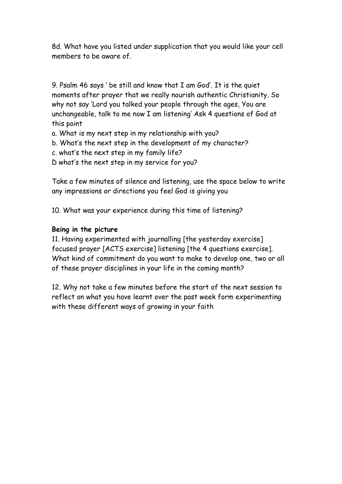8d. What have you listed under supplication that you would like your cell members to be aware of.

9. Psalm 46 says ' be still and know that I am God'. It is the quiet moments after prayer that we really nourish authentic Christianity. So why not say 'Lord you talked your people through the ages, You are unchangeable, talk to me now I am listening' Ask 4 questions of God at this point

- a. What is my next step in my relationship with you?
- b. What's the next step in the development of my character?
- c. what's the next step in my family life?
- D what's the next step in my service for you?

Take a few minutes of silence and listening, use the space below to write any impressions or directions you feel God is giving you

10. What was your experience during this time of listening?

### **Being in the picture**

11. Having experimented with journalling [the yesterday exercise] focused prayer [ACTS exercise] listening [the 4 questions exercise]. What kind of commitment do you want to make to develop one, two or all of these prayer disciplines in your life in the coming month?

12. Why not take a few minutes before the start of the next session to reflect on what you have learnt over the past week form experimenting with these different ways of growing in your faith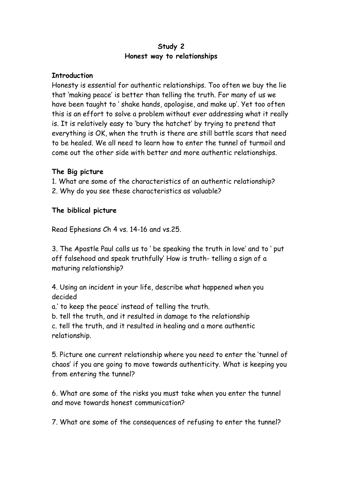## **Study 2 Honest way to relationships**

### **Introduction**

Honesty is essential for authentic relationships. Too often we buy the lie that 'making peace' is better than telling the truth. For many of us we have been taught to ' shake hands, apologise, and make up'. Yet too often this is an effort to solve a problem without ever addressing what it really is. It is relatively easy to 'bury the hatchet' by trying to pretend that everything is OK, when the truth is there are still battle scars that need to be healed. We all need to learn how to enter the tunnel of turmoil and come out the other side with better and more authentic relationships.

## **The Big picture**

1. What are some of the characteristics of an authentic relationship? 2. Why do you see these characteristics as valuable?

## **The biblical picture**

Read Ephesians Ch 4 vs. 14-16 and vs.25.

3. The Apostle Paul calls us to ' be speaking the truth in love' and to ' put off falsehood and speak truthfully' How is truth- telling a sign of a maturing relationship?

4. Using an incident in your life, describe what happened when you decided

a.' to keep the peace' instead of telling the truth.

b. tell the truth, and it resulted in damage to the relationship

c. tell the truth, and it resulted in healing and a more authentic relationship.

5. Picture one current relationship where you need to enter the 'tunnel of chaos' if you are going to move towards authenticity. What is keeping you from entering the tunnel?

6. What are some of the risks you must take when you enter the tunnel and move towards honest communication?

7. What are some of the consequences of refusing to enter the tunnel?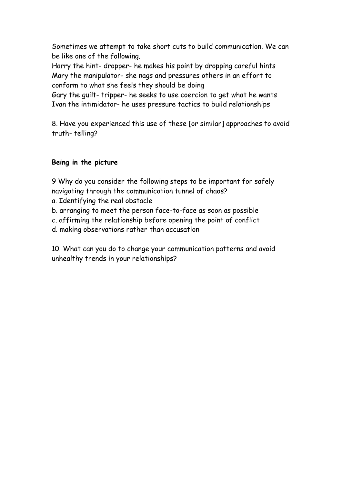Sometimes we attempt to take short cuts to build communication. We can be like one of the following.

Harry the hint- dropper- he makes his point by dropping careful hints Mary the manipulator- she nags and pressures others in an effort to conform to what she feels they should be doing

Gary the guilt- tripper- he seeks to use coercion to get what he wants Ivan the intimidator- he uses pressure tactics to build relationships

8. Have you experienced this use of these [or similar] approaches to avoid truth- telling?

## **Being in the picture**

9 Why do you consider the following steps to be important for safely navigating through the communication tunnel of chaos?

- a. Identifying the real obstacle
- b. arranging to meet the person face-to-face as soon as possible
- c. affirming the relationship before opening the point of conflict
- d. making observations rather than accusation

10. What can you do to change your communication patterns and avoid unhealthy trends in your relationships?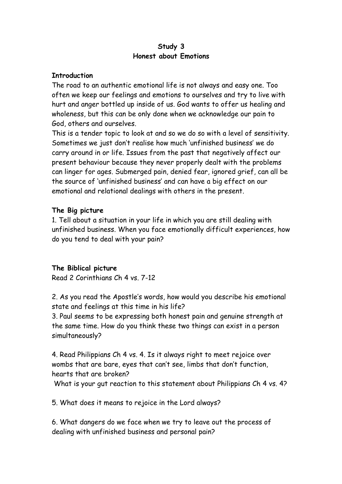### **Study 3 Honest about Emotions**

### **Introduction**

The road to an authentic emotional life is not always and easy one. Too often we keep our feelings and emotions to ourselves and try to live with hurt and anger bottled up inside of us. God wants to offer us healing and wholeness, but this can be only done when we acknowledge our pain to God, others and ourselves.

This is a tender topic to look at and so we do so with a level of sensitivity. Sometimes we just don't realise how much 'unfinished business' we do carry around in or life. Issues from the past that negatively affect our present behaviour because they never properly dealt with the problems can linger for ages. Submerged pain, denied fear, ignored grief, can all be the source of 'unfinished business' and can have a big effect on our emotional and relational dealings with others in the present.

## **The Big picture**

1. Tell about a situation in your life in which you are still dealing with unfinished business. When you face emotionally difficult experiences, how do you tend to deal with your pain?

## **The Biblical picture**

Read 2 Corinthians Ch 4 vs. 7-12

2. As you read the Apostle's words, how would you describe his emotional state and feelings at this time in his life?

3. Paul seems to be expressing both honest pain and genuine strength at the same time. How do you think these two things can exist in a person simultaneously?

4. Read Philippians Ch 4 vs. 4. Is it always right to meet rejoice over wombs that are bare, eyes that can't see, limbs that don't function, hearts that are broken?

What is your gut reaction to this statement about Philippians Ch 4 vs. 4?

5. What does it means to rejoice in the Lord always?

6. What dangers do we face when we try to leave out the process of dealing with unfinished business and personal pain?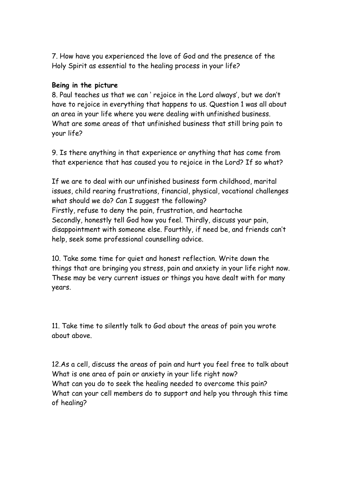7. How have you experienced the love of God and the presence of the Holy Spirit as essential to the healing process in your life?

## **Being in the picture**

8. Paul teaches us that we can ' rejoice in the Lord always', but we don't have to rejoice in everything that happens to us. Question 1 was all about an area in your life where you were dealing with unfinished business. What are some areas of that unfinished business that still bring pain to your life?

9. Is there anything in that experience or anything that has come from that experience that has caused you to rejoice in the Lord? If so what?

If we are to deal with our unfinished business form childhood, marital issues, child rearing frustrations, financial, physical, vocational challenges what should we do? Can I suggest the following? Firstly, refuse to deny the pain, frustration, and heartache Secondly, honestly tell God how you feel. Thirdly, discuss your pain, disappointment with someone else. Fourthly, if need be, and friends can't help, seek some professional counselling advice.

10. Take some time for quiet and honest reflection. Write down the things that are bringing you stress, pain and anxiety in your life right now. These may be very current issues or things you have dealt with for many years.

11. Take time to silently talk to God about the areas of pain you wrote about above.

12.As a cell, discuss the areas of pain and hurt you feel free to talk about What is one area of pain or anxiety in your life right now? What can you do to seek the healing needed to overcome this pain? What can your cell members do to support and help you through this time of healing?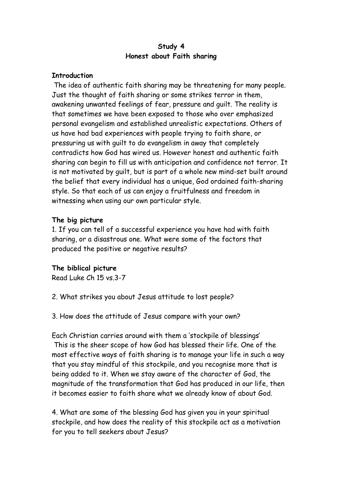### **Study 4 Honest about Faith sharing**

### **Introduction**

 The idea of authentic faith sharing may be threatening for many people. Just the thought of faith sharing or some strikes terror in them, awakening unwanted feelings of fear, pressure and guilt. The reality is that sometimes we have been exposed to those who over emphasized personal evangelism and established unrealistic expectations. Others of us have had bad experiences with people trying to faith share, or pressuring us with guilt to do evangelism in away that completely contradicts how God has wired us. However honest and authentic faith sharing can begin to fill us with anticipation and confidence not terror. It is not motivated by guilt, but is part of a whole new mind-set built around the belief that every individual has a unique, God ordained faith-sharing style. So that each of us can enjoy a fruitfulness and freedom in witnessing when using our own particular style.

## **The big picture**

1. If you can tell of a successful experience you have had with faith sharing, or a disastrous one. What were some of the factors that produced the positive or negative results?

## **The biblical picture**

Read Luke Ch 15 vs.3-7

- 2. What strikes you about Jesus attitude to lost people?
- 3. How does the attitude of Jesus compare with your own?

Each Christian carries around with them a 'stockpile of blessings' This is the sheer scope of how God has blessed their life. One of the most effective ways of faith sharing is to manage your life in such a way that you stay mindful of this stockpile, and you recognise more that is being added to it. When we stay aware of the character of God, the magnitude of the transformation that God has produced in our life, then it becomes easier to faith share what we already know of about God.

4. What are some of the blessing God has given you in your spiritual stockpile, and how does the reality of this stockpile act as a motivation for you to tell seekers about Jesus?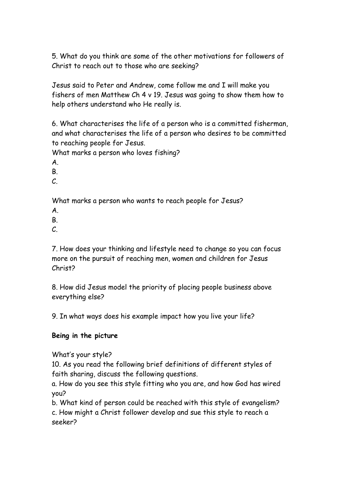5. What do you think are some of the other motivations for followers of Christ to reach out to those who are seeking?

Jesus said to Peter and Andrew, come follow me and I will make you fishers of men Matthew Ch 4 v 19. Jesus was going to show them how to help others understand who He really is.

6. What characterises the life of a person who is a committed fisherman, and what characterises the life of a person who desires to be committed to reaching people for Jesus.

What marks a person who loves fishing?

A.

B.

C.

What marks a person who wants to reach people for Jesus?

A.

B.

 $\mathcal{C}$ .

7. How does your thinking and lifestyle need to change so you can focus more on the pursuit of reaching men, women and children for Jesus Christ?

8. How did Jesus model the priority of placing people business above everything else?

9. In what ways does his example impact how you live your life?

## **Being in the picture**

What's your style?

10. As you read the following brief definitions of different styles of faith sharing, discuss the following questions.

a. How do you see this style fitting who you are, and how God has wired you?

b. What kind of person could be reached with this style of evangelism? c. How might a Christ follower develop and sue this style to reach a seeker?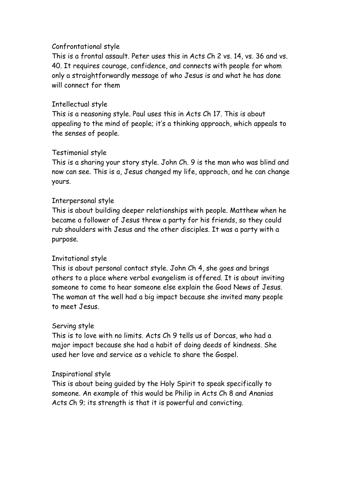### Confrontational style

This is a frontal assault. Peter uses this in Acts Ch 2 vs. 14, vs. 36 and vs. 40. It requires courage, confidence, and connects with people for whom only a straightforwardly message of who Jesus is and what he has done will connect for them

## Intellectual style

This is a reasoning style. Paul uses this in Acts Ch 17. This is about appealing to the mind of people; it's a thinking approach, which appeals to the senses of people.

## Testimonial style

This is a sharing your story style. John Ch. 9 is the man who was blind and now can see. This is a, Jesus changed my life, approach, and he can change yours.

## Interpersonal style

This is about building deeper relationships with people. Matthew when he became a follower of Jesus threw a party for his friends, so they could rub shoulders with Jesus and the other disciples. It was a party with a purpose.

## Invitational style

This is about personal contact style. John Ch 4, she goes and brings others to a place where verbal evangelism is offered. It is about inviting someone to come to hear someone else explain the Good News of Jesus. The woman at the well had a big impact because she invited many people to meet Jesus.

## Serving style

This is to love with no limits. Acts Ch 9 tells us of Dorcas, who had a major impact because she had a habit of doing deeds of kindness. She used her love and service as a vehicle to share the Gospel.

### Inspirational style

This is about being guided by the Holy Spirit to speak specifically to someone. An example of this would be Philip in Acts Ch 8 and Ananias Acts Ch 9; its strength is that it is powerful and convicting.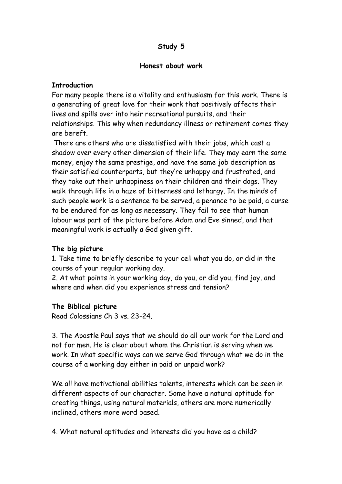## **Study 5**

#### **Honest about work**

### **Introduction**

For many people there is a vitality and enthusiasm for this work. There is a generating of great love for their work that positively affects their lives and spills over into heir recreational pursuits, and their relationships. This why when redundancy illness or retirement comes they are bereft.

 There are others who are dissatisfied with their jobs, which cast a shadow over every other dimension of their life. They may earn the same money, enjoy the same prestige, and have the same job description as their satisfied counterparts, but they're unhappy and frustrated, and they take out their unhappiness on their children and their dogs. They walk through life in a haze of bitterness and lethargy. In the minds of such people work is a sentence to be served, a penance to be paid, a curse to be endured for as long as necessary. They fail to see that human labour was part of the picture before Adam and Eve sinned, and that meaningful work is actually a God given gift.

### **The big picture**

1. Take time to briefly describe to your cell what you do, or did in the course of your regular working day.

2. At what points in your working day, do you, or did you, find joy, and where and when did you experience stress and tension?

### **The Biblical picture**

Read Colossians Ch 3 vs. 23-24.

3. The Apostle Paul says that we should do all our work for the Lord and not for men. He is clear about whom the Christian is serving when we work. In what specific ways can we serve God through what we do in the course of a working day either in paid or unpaid work?

We all have motivational abilities talents, interests which can be seen in different aspects of our character. Some have a natural aptitude for creating things, using natural materials, others are more numerically inclined, others more word based.

4. What natural aptitudes and interests did you have as a child?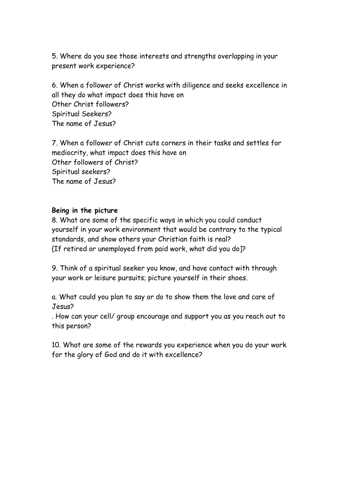5. Where do you see those interests and strengths overlapping in your present work experience?

6. When a follower of Christ works with diligence and seeks excellence in all they do what impact does this have on Other Christ followers? Spiritual Seekers? The name of Jesus?

7. When a follower of Christ cuts corners in their tasks and settles for mediocrity, what impact does this have on Other followers of Christ? Spiritual seekers? The name of Jesus?

### **Being in the picture**

8. What are some of the specific ways in which you could conduct yourself in your work environment that would be contrary to the typical standards, and show others your Christian faith is real? {If retired or unemployed from paid work, what did you do]?

9. Think of a spiritual seeker you know, and have contact with through your work or leisure pursuits; picture yourself in their shoes.

a. What could you plan to say or do to show them the love and care of Jesus?

. How can your cell/ group encourage and support you as you reach out to this person?

10. What are some of the rewards you experience when you do your work for the glory of God and do it with excellence?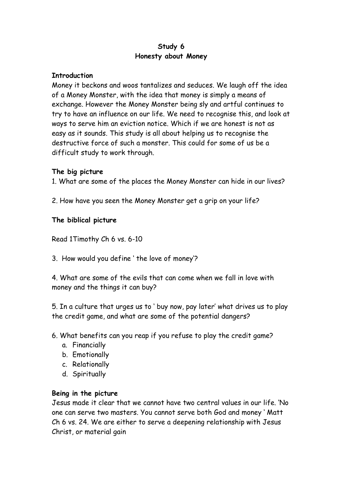## **Study 6 Honesty about Money**

### **Introduction**

Money it beckons and woos tantalizes and seduces. We laugh off the idea of a Money Monster, with the idea that money is simply a means of exchange. However the Money Monster being sly and artful continues to try to have an influence on our life. We need to recognise this, and look at ways to serve him an eviction notice. Which if we are honest is not as easy as it sounds. This study is all about helping us to recognise the destructive force of such a monster. This could for some of us be a difficult study to work through.

## **The big picture**

1. What are some of the places the Money Monster can hide in our lives?

2. How have you seen the Money Monster get a grip on your life?

## **The biblical picture**

Read 1Timothy Ch 6 vs. 6-10

3. How would you define ' the love of money'?

4. What are some of the evils that can come when we fall in love with money and the things it can buy?

5. In a culture that urges us to ' buy now, pay later' what drives us to play the credit game, and what are some of the potential dangers?

- 6. What benefits can you reap if you refuse to play the credit game?
	- a. Financially
	- b. Emotionally
	- c. Relationally
	- d. Spiritually

### **Being in the picture**

Jesus made it clear that we cannot have two central values in our life. 'No one can serve two masters. You cannot serve both God and money ' Matt Ch 6 vs. 24. We are either to serve a deepening relationship with Jesus Christ, or material gain